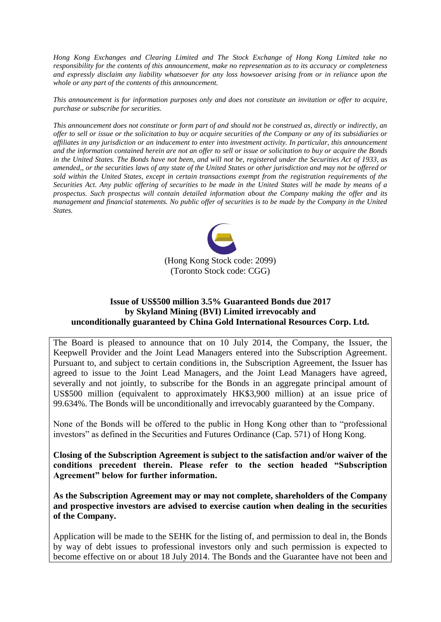*Hong Kong Exchanges and Clearing Limited and The Stock Exchange of Hong Kong Limited take no responsibility for the contents of this announcement, make no representation as to its accuracy or completeness and expressly disclaim any liability whatsoever for any loss howsoever arising from or in reliance upon the whole or any part of the contents of this announcement.*

*This announcement is for information purposes only and does not constitute an invitation or offer to acquire, purchase or subscribe for securities.*

*This announcement does not constitute or form part of and should not be construed as, directly or indirectly, an offer to sell or issue or the solicitation to buy or acquire securities of the Company or any of its subsidiaries or affiliates in any jurisdiction or an inducement to enter into investment activity. In particular, this announcement and the information contained herein are not an offer to sell or issue or solicitation to buy or acquire the Bonds in the United States. The Bonds have not been, and will not be, registered under the Securities Act of 1933, as amended,, or the securities laws of any state of the United States or other jurisdiction and may not be offered or sold within the United States, except in certain transactions exempt from the registration requirements of the Securities Act. Any public offering of securities to be made in the United States will be made by means of a prospectus. Such prospectus will contain detailed information about the Company making the offer and its management and financial statements. No public offer of securities is to be made by the Company in the United States.*



## **Issue of US\$500 million 3.5% Guaranteed Bonds due 2017 by Skyland Mining (BVI) Limited irrevocably and unconditionally guaranteed by China Gold International Resources Corp. Ltd.**

The Board is pleased to announce that on 10 July 2014, the Company, the Issuer, the Keepwell Provider and the Joint Lead Managers entered into the Subscription Agreement. Pursuant to, and subject to certain conditions in, the Subscription Agreement, the Issuer has agreed to issue to the Joint Lead Managers, and the Joint Lead Managers have agreed, severally and not jointly, to subscribe for the Bonds in an aggregate principal amount of US\$500 million (equivalent to approximately HK\$3,900 million) at an issue price of 99.634%. The Bonds will be unconditionally and irrevocably guaranteed by the Company.

None of the Bonds will be offered to the public in Hong Kong other than to "professional investors" as defined in the Securities and Futures Ordinance (Cap. 571) of Hong Kong.

**Closing of the Subscription Agreement is subject to the satisfaction and/or waiver of the conditions precedent therein. Please refer to the section headed "Subscription Agreement" below for further information.**

**As the Subscription Agreement may or may not complete, shareholders of the Company and prospective investors are advised to exercise caution when dealing in the securities of the Company.**

Application will be made to the SEHK for the listing of, and permission to deal in, the Bonds by way of debt issues to professional investors only and such permission is expected to become effective on or about 18 July 2014. The Bonds and the Guarantee have not been and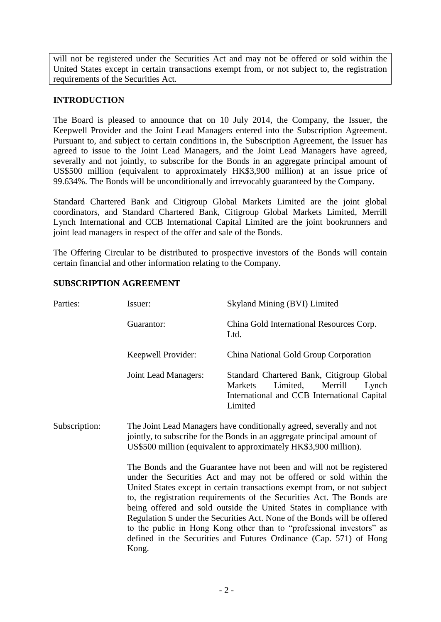will not be registered under the Securities Act and may not be offered or sold within the United States except in certain transactions exempt from, or not subject to, the registration requirements of the Securities Act.

## **INTRODUCTION**

The Board is pleased to announce that on 10 July 2014, the Company, the Issuer, the Keepwell Provider and the Joint Lead Managers entered into the Subscription Agreement. Pursuant to, and subject to certain conditions in, the Subscription Agreement, the Issuer has agreed to issue to the Joint Lead Managers, and the Joint Lead Managers have agreed, severally and not jointly, to subscribe for the Bonds in an aggregate principal amount of US\$500 million (equivalent to approximately HK\$3,900 million) at an issue price of 99.634%. The Bonds will be unconditionally and irrevocably guaranteed by the Company.

Standard Chartered Bank and Citigroup Global Markets Limited are the joint global coordinators, and Standard Chartered Bank, Citigroup Global Markets Limited, Merrill Lynch International and CCB International Capital Limited are the joint bookrunners and joint lead managers in respect of the offer and sale of the Bonds.

The Offering Circular to be distributed to prospective investors of the Bonds will contain certain financial and other information relating to the Company.

| Parties:      | Issuer:                                                                                                                                                                                                                                                                                                                                                                                                                                                                                                                                                                                                    | Skyland Mining (BVI) Limited                                                                                                                   |  |
|---------------|------------------------------------------------------------------------------------------------------------------------------------------------------------------------------------------------------------------------------------------------------------------------------------------------------------------------------------------------------------------------------------------------------------------------------------------------------------------------------------------------------------------------------------------------------------------------------------------------------------|------------------------------------------------------------------------------------------------------------------------------------------------|--|
|               | Guarantor:                                                                                                                                                                                                                                                                                                                                                                                                                                                                                                                                                                                                 | China Gold International Resources Corp.<br>Ltd.                                                                                               |  |
|               | Keepwell Provider:                                                                                                                                                                                                                                                                                                                                                                                                                                                                                                                                                                                         | China National Gold Group Corporation                                                                                                          |  |
|               | Joint Lead Managers:                                                                                                                                                                                                                                                                                                                                                                                                                                                                                                                                                                                       | Standard Chartered Bank, Citigroup Global<br>Limited,<br>Merrill<br>Markets<br>Lynch<br>International and CCB International Capital<br>Limited |  |
| Subscription: | The Joint Lead Managers have conditionally agreed, severally and not<br>jointly, to subscribe for the Bonds in an aggregate principal amount of<br>US\$500 million (equivalent to approximately HK\$3,900 million).                                                                                                                                                                                                                                                                                                                                                                                        |                                                                                                                                                |  |
|               | The Bonds and the Guarantee have not been and will not be registered<br>under the Securities Act and may not be offered or sold within the<br>United States except in certain transactions exempt from, or not subject<br>to, the registration requirements of the Securities Act. The Bonds are<br>being offered and sold outside the United States in compliance with<br>Regulation S under the Securities Act. None of the Bonds will be offered<br>to the public in Hong Kong other than to "professional investors" as<br>defined in the Securities and Futures Ordinance (Cap. 571) of Hong<br>Kong. |                                                                                                                                                |  |

### **SUBSCRIPTION AGREEMENT**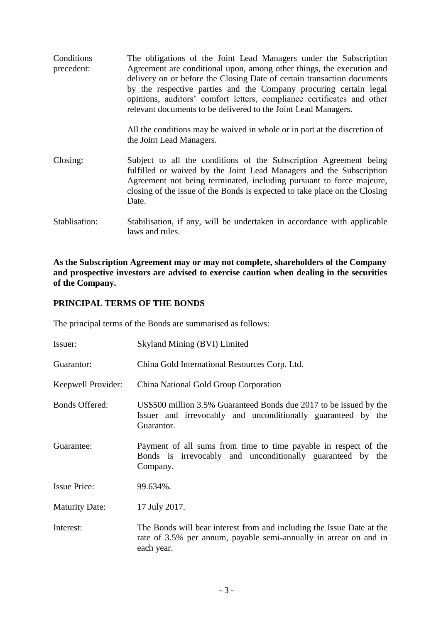**Conditions** precedent: The obligations of the Joint Lead Managers under the Subscription Agreement are conditional upon, among other things, the execution and delivery on or before the Closing Date of certain transaction documents by the respective parties and the Company procuring certain legal opinions, auditors' comfort letters, compliance certificates and other relevant documents to be delivered to the Joint Lead Managers. All the conditions may be waived in whole or in part at the discretion of the Joint Lead Managers. Closing: Subject to all the conditions of the Subscription Agreement being fulfilled or waived by the Joint Lead Managers and the Subscription Agreement not being terminated, including pursuant to force majeure, closing of the issue of the Bonds is expected to take place on the Closing Date. Stablisation: Stabilisation, if any, will be undertaken in accordance with applicable

**As the Subscription Agreement may or may not complete, shareholders of the Company and prospective investors are advised to exercise caution when dealing in the securities of the Company.**

#### **PRINCIPAL TERMS OF THE BONDS**

The principal terms of the Bonds are summarised as follows:

laws and rules.

| Issuer:               | Skyland Mining (BVI) Limited                                                                                                                             |
|-----------------------|----------------------------------------------------------------------------------------------------------------------------------------------------------|
| Guarantor:            | China Gold International Resources Corp. Ltd.                                                                                                            |
| Keepwell Provider:    | China National Gold Group Corporation                                                                                                                    |
| <b>Bonds Offered:</b> | US\$500 million 3.5% Guaranteed Bonds due 2017 to be issued by the<br>Issuer and irrevocably and unconditionally guaranteed by the<br>Guarantor.         |
| Guarantee:            | Payment of all sums from time to time payable in respect of the<br>Bonds is irrevocably and unconditionally guaranteed by the<br>Company.                |
| <b>Issue Price:</b>   | 99.634%.                                                                                                                                                 |
| <b>Maturity Date:</b> | 17 July 2017.                                                                                                                                            |
| Interest:             | The Bonds will bear interest from and including the Issue Date at the<br>rate of 3.5% per annum, payable semi-annually in arrear on and in<br>each year. |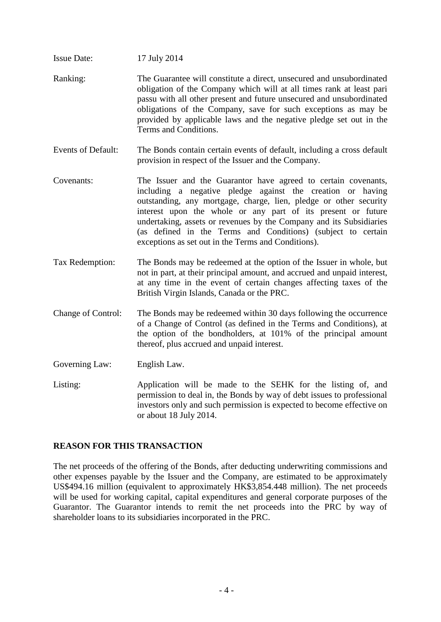- Issue Date: 17 July 2014 Ranking: The Guarantee will constitute a direct, unsecured and unsubordinated obligation of the Company which will at all times rank at least pari passu with all other present and future unsecured and unsubordinated obligations of the Company, save for such exceptions as may be provided by applicable laws and the negative pledge set out in the Terms and Conditions.
- Events of Default: The Bonds contain certain events of default, including a cross default provision in respect of the Issuer and the Company.
- Covenants: The Issuer and the Guarantor have agreed to certain covenants, including a negative pledge against the creation or having outstanding, any mortgage, charge, lien, pledge or other security interest upon the whole or any part of its present or future undertaking, assets or revenues by the Company and its Subsidiaries (as defined in the Terms and Conditions) (subject to certain exceptions as set out in the Terms and Conditions).
- Tax Redemption: The Bonds may be redeemed at the option of the Issuer in whole, but not in part, at their principal amount, and accrued and unpaid interest, at any time in the event of certain changes affecting taxes of the British Virgin Islands, Canada or the PRC.
- Change of Control: The Bonds may be redeemed within 30 days following the occurrence of a Change of Control (as defined in the Terms and Conditions), at the option of the bondholders, at 101% of the principal amount thereof, plus accrued and unpaid interest.
- Governing Law: English Law.
- Listing: Application will be made to the SEHK for the listing of, and permission to deal in, the Bonds by way of debt issues to professional investors only and such permission is expected to become effective on or about 18 July 2014.

## **REASON FOR THIS TRANSACTION**

The net proceeds of the offering of the Bonds, after deducting underwriting commissions and other expenses payable by the Issuer and the Company, are estimated to be approximately US\$494.16 million (equivalent to approximately HK\$3,854.448 million). The net proceeds will be used for working capital, capital expenditures and general corporate purposes of the Guarantor. The Guarantor intends to remit the net proceeds into the PRC by way of shareholder loans to its subsidiaries incorporated in the PRC.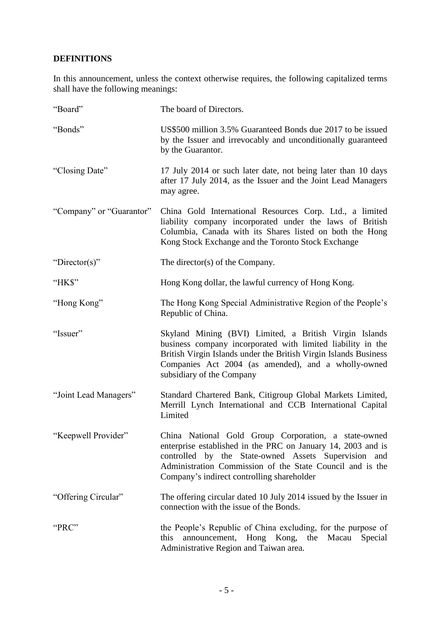# **DEFINITIONS**

In this announcement, unless the context otherwise requires, the following capitalized terms shall have the following meanings:

| "Board"                  | The board of Directors.                                                                                                                                                                                                                                                                 |
|--------------------------|-----------------------------------------------------------------------------------------------------------------------------------------------------------------------------------------------------------------------------------------------------------------------------------------|
| "Bonds"                  | US\$500 million 3.5% Guaranteed Bonds due 2017 to be issued<br>by the Issuer and irrevocably and unconditionally guaranteed<br>by the Guarantor.                                                                                                                                        |
| "Closing Date"           | 17 July 2014 or such later date, not being later than 10 days<br>after 17 July 2014, as the Issuer and the Joint Lead Managers<br>may agree.                                                                                                                                            |
| "Company" or "Guarantor" | China Gold International Resources Corp. Ltd., a limited<br>liability company incorporated under the laws of British<br>Columbia, Canada with its Shares listed on both the Hong<br>Kong Stock Exchange and the Toronto Stock Exchange                                                  |
| "Director(s)"            | The director(s) of the Company.                                                                                                                                                                                                                                                         |
| "HK\$"                   | Hong Kong dollar, the lawful currency of Hong Kong.                                                                                                                                                                                                                                     |
| "Hong Kong"              | The Hong Kong Special Administrative Region of the People's<br>Republic of China.                                                                                                                                                                                                       |
| "Issuer"                 | Skyland Mining (BVI) Limited, a British Virgin Islands<br>business company incorporated with limited liability in the<br>British Virgin Islands under the British Virgin Islands Business<br>Companies Act 2004 (as amended), and a wholly-owned<br>subsidiary of the Company           |
| "Joint Lead Managers"    | Standard Chartered Bank, Citigroup Global Markets Limited,<br>Merrill Lynch International and CCB International Capital<br>Limited                                                                                                                                                      |
| "Keepwell Provider"      | China National Gold Group Corporation, a state-owned<br>enterprise established in the PRC on January 14, 2003 and is<br>controlled by the State-owned Assets Supervision and<br>Administration Commission of the State Council and is the<br>Company's indirect controlling shareholder |
| "Offering Circular"      | The offering circular dated 10 July 2014 issued by the Issuer in<br>connection with the issue of the Bonds.                                                                                                                                                                             |
| "PRC"                    | the People's Republic of China excluding, for the purpose of<br>this<br>announcement, Hong Kong, the Macau Special<br>Administrative Region and Taiwan area.                                                                                                                            |